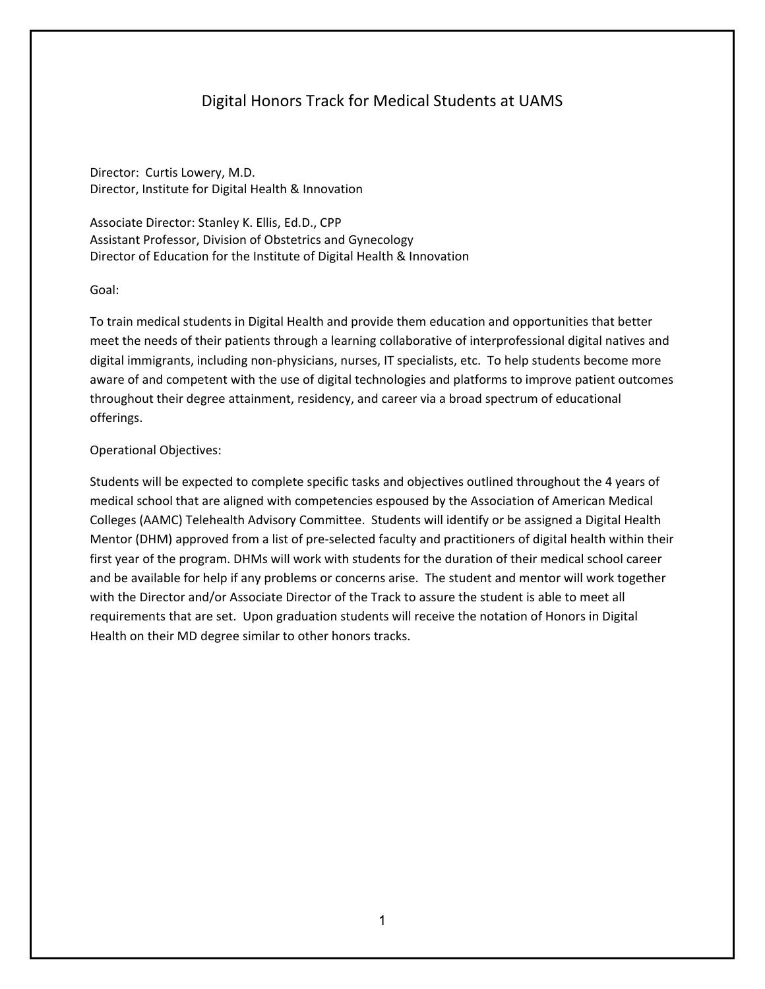# Digital Honors Track for Medical Students at UAMS

Director: Curtis Lowery, M.D. Director, Institute for Digital Health & Innovation

Associate Director: Stanley K. Ellis, Ed.D., CPP Assistant Professor, Division of Obstetrics and Gynecology Director of Education for the Institute of Digital Health & Innovation

#### Goal:

To train medical students in Digital Health and provide them education and opportunities that better meet the needs of their patients through a learning collaborative of interprofessional digital natives and digital immigrants, including non-physicians, nurses, IT specialists, etc. To help students become more aware of and competent with the use of digital technologies and platforms to improve patient outcomes throughout their degree attainment, residency, and career via a broad spectrum of educational offerings.

#### Operational Objectives:

Students will be expected to complete specific tasks and objectives outlined throughout the 4 years of medical school that are aligned with competencies espoused by the Association of American Medical Colleges (AAMC) Telehealth Advisory Committee. Students will identify or be assigned a Digital Health Mentor (DHM) approved from a list of pre-selected faculty and practitioners of digital health within their first year of the program. DHMs will work with students for the duration of their medical school career and be available for help if any problems or concerns arise. The student and mentor will work together with the Director and/or Associate Director of the Track to assure the student is able to meet all requirements that are set. Upon graduation students will receive the notation of Honors in Digital Health on their MD degree similar to other honors tracks.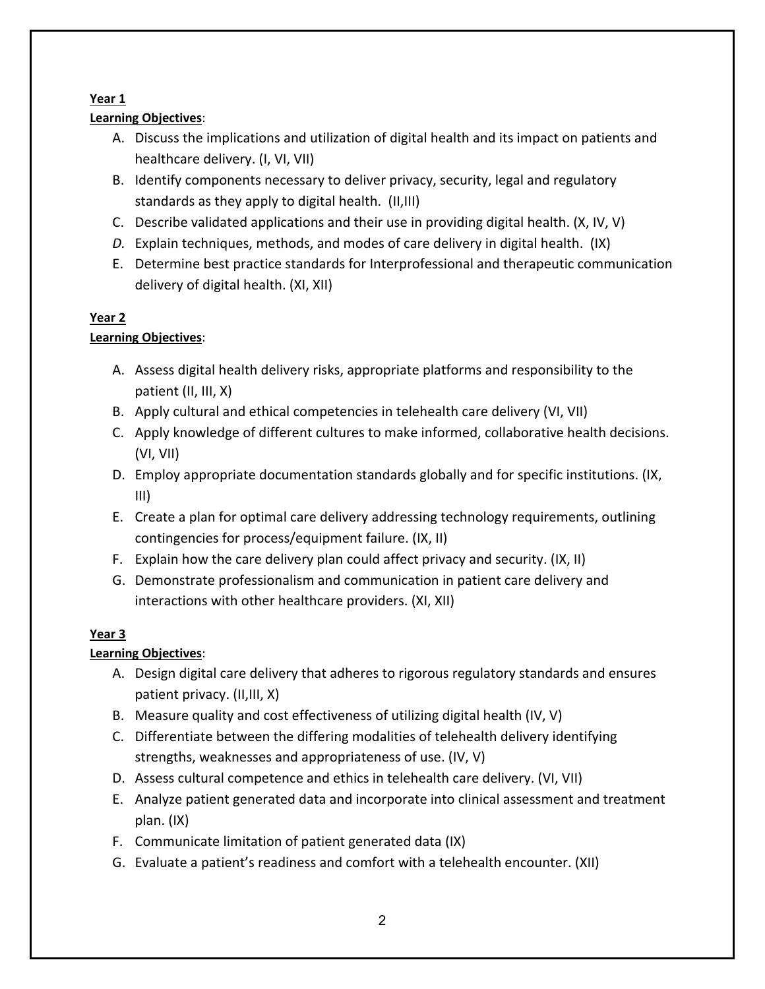## **Year 1**

# **Learning Objectives**:

- A. Discuss the implications and utilization of digital health and its impact on patients and healthcare delivery. (I, VI, VII)
- B. Identify components necessary to deliver privacy, security, legal and regulatory standards as they apply to digital health. (II,III)
- C. Describe validated applications and their use in providing digital health. (X, IV, V)
- *D.* Explain techniques, methods, and modes of care delivery in digital health. (IX)
- E. Determine best practice standards for Interprofessional and therapeutic communication delivery of digital health. (XI, XII)

## **Year 2**

# **Learning Objectives**:

- A. Assess digital health delivery risks, appropriate platforms and responsibility to the patient (II, III, X)
- B. Apply cultural and ethical competencies in telehealth care delivery (VI, VII)
- C. Apply knowledge of different cultures to make informed, collaborative health decisions. (VI, VII)
- D. Employ appropriate documentation standards globally and for specific institutions. (IX, III)
- E. Create a plan for optimal care delivery addressing technology requirements, outlining contingencies for process/equipment failure. (IX, II)
- F. Explain how the care delivery plan could affect privacy and security. (IX, II)
- G. Demonstrate professionalism and communication in patient care delivery and interactions with other healthcare providers. (XI, XII)

# **Year 3**

# **Learning Objectives**:

- A. Design digital care delivery that adheres to rigorous regulatory standards and ensures patient privacy. (II,III, X)
- B. Measure quality and cost effectiveness of utilizing digital health (IV, V)
- C. Differentiate between the differing modalities of telehealth delivery identifying strengths, weaknesses and appropriateness of use. (IV, V)
- D. Assess cultural competence and ethics in telehealth care delivery. (VI, VII)
- E. Analyze patient generated data and incorporate into clinical assessment and treatment plan. (IX)
- F. Communicate limitation of patient generated data (IX)
- G. Evaluate a patient's readiness and comfort with a telehealth encounter. (XII)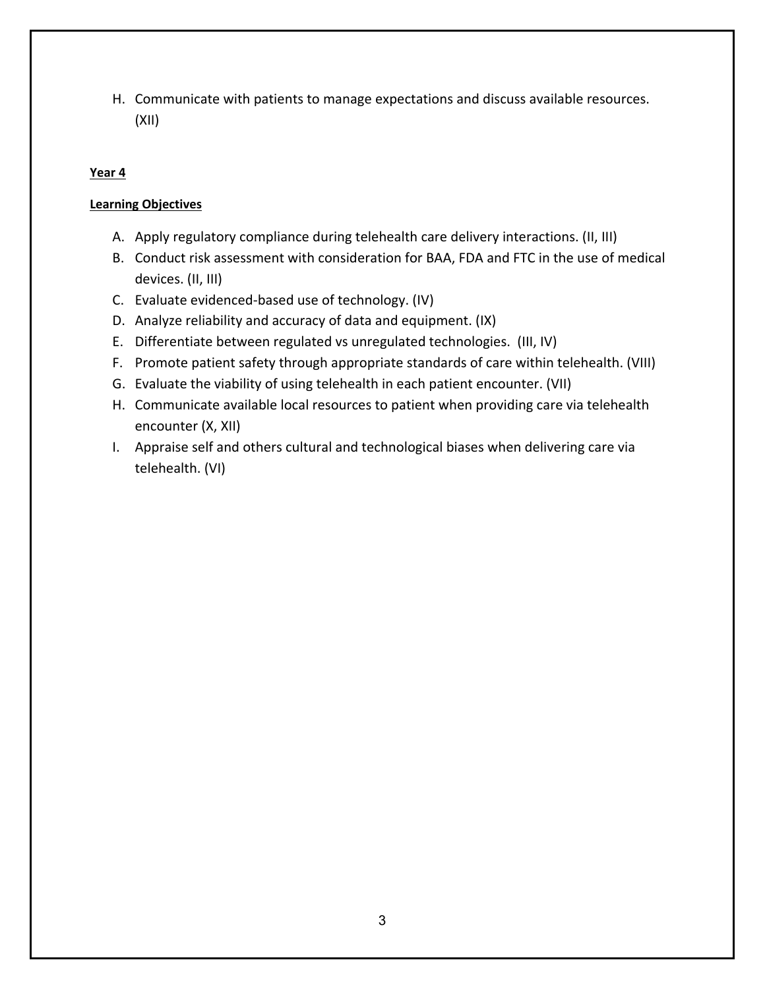H. Communicate with patients to manage expectations and discuss available resources. (XII)

### **Year 4**

### **Learning Objectives**

- A. Apply regulatory compliance during telehealth care delivery interactions. (II, III)
- B. Conduct risk assessment with consideration for BAA, FDA and FTC in the use of medical devices. (II, III)
- C. Evaluate evidenced-based use of technology. (IV)
- D. Analyze reliability and accuracy of data and equipment. (IX)
- E. Differentiate between regulated vs unregulated technologies. (III, IV)
- F. Promote patient safety through appropriate standards of care within telehealth. (VIII)
- G. Evaluate the viability of using telehealth in each patient encounter. (VII)
- H. Communicate available local resources to patient when providing care via telehealth encounter (X, XII)
- I. Appraise self and others cultural and technological biases when delivering care via telehealth. (VI)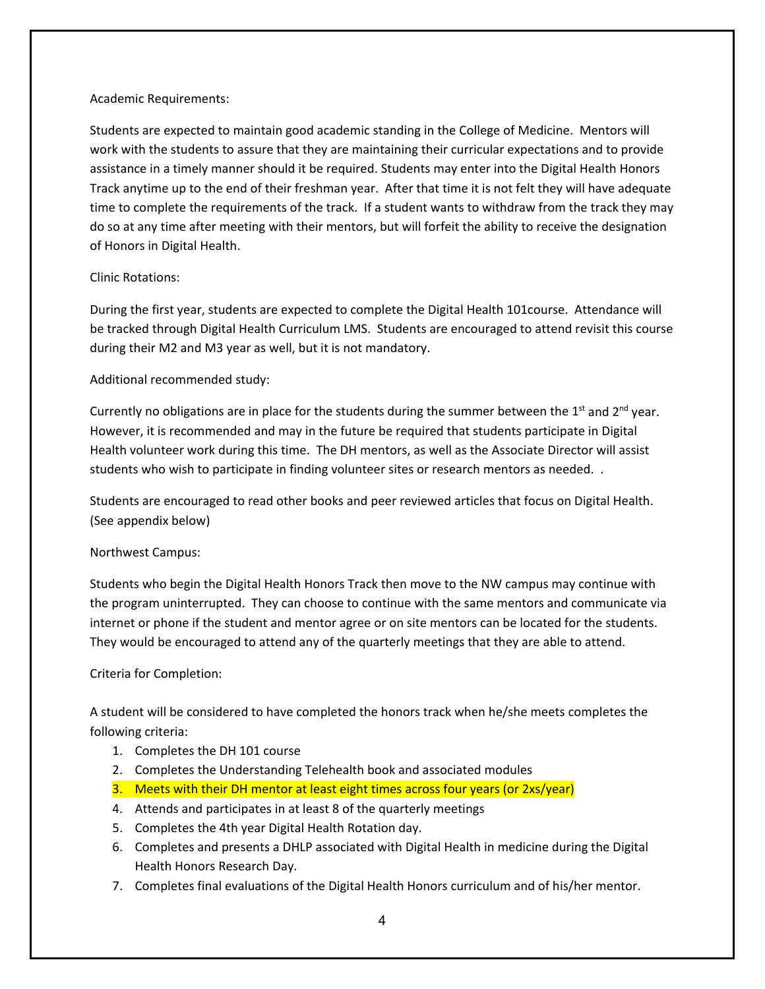#### Academic Requirements:

Students are expected to maintain good academic standing in the College of Medicine. Mentors will work with the students to assure that they are maintaining their curricular expectations and to provide assistance in a timely manner should it be required. Students may enter into the Digital Health Honors Track anytime up to the end of their freshman year. After that time it is not felt they will have adequate time to complete the requirements of the track. If a student wants to withdraw from the track they may do so at any time after meeting with their mentors, but will forfeit the ability to receive the designation of Honors in Digital Health.

### Clinic Rotations:

During the first year, students are expected to complete the Digital Health 101course. Attendance will be tracked through Digital Health Curriculum LMS. Students are encouraged to attend revisit this course during their M2 and M3 year as well, but it is not mandatory.

### Additional recommended study:

Currently no obligations are in place for the students during the summer between the  $1<sup>st</sup>$  and  $2<sup>nd</sup>$  year. However, it is recommended and may in the future be required that students participate in Digital Health volunteer work during this time. The DH mentors, as well as the Associate Director will assist students who wish to participate in finding volunteer sites or research mentors as needed. .

Students are encouraged to read other books and peer reviewed articles that focus on Digital Health. (See appendix below)

### Northwest Campus:

Students who begin the Digital Health Honors Track then move to the NW campus may continue with the program uninterrupted. They can choose to continue with the same mentors and communicate via internet or phone if the student and mentor agree or on site mentors can be located for the students. They would be encouraged to attend any of the quarterly meetings that they are able to attend.

### Criteria for Completion:

A student will be considered to have completed the honors track when he/she meets completes the following criteria:

- 1. Completes the DH 101 course
- 2. Completes the Understanding Telehealth book and associated modules
- 3. Meets with their DH mentor at least eight times across four years (or 2xs/year)
- 4. Attends and participates in at least 8 of the quarterly meetings
- 5. Completes the 4th year Digital Health Rotation day.
- 6. Completes and presents a DHLP associated with Digital Health in medicine during the Digital Health Honors Research Day.
- 7. Completes final evaluations of the Digital Health Honors curriculum and of his/her mentor.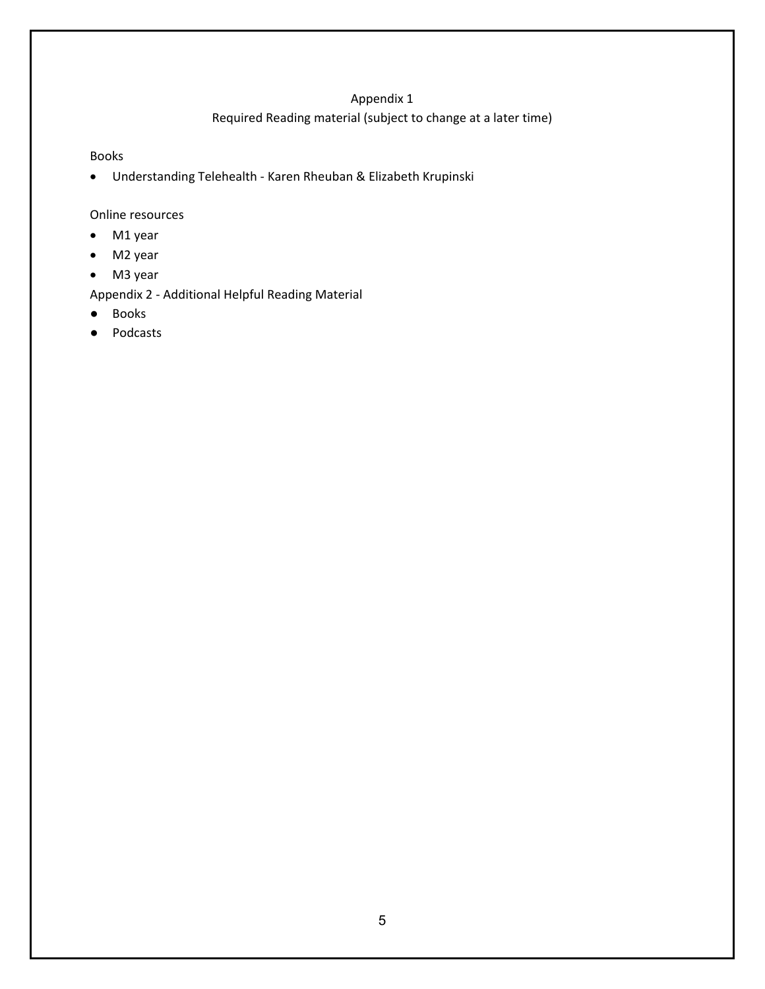#### Appendix 1

### Required Reading material (subject to change at a later time)

#### Books

• Understanding Telehealth - Karen Rheuban & Elizabeth Krupinski

#### Online resources

- M1 year
- M2 year
- M3 year

Appendix 2 - Additional Helpful Reading Material

- Books
- Podcasts